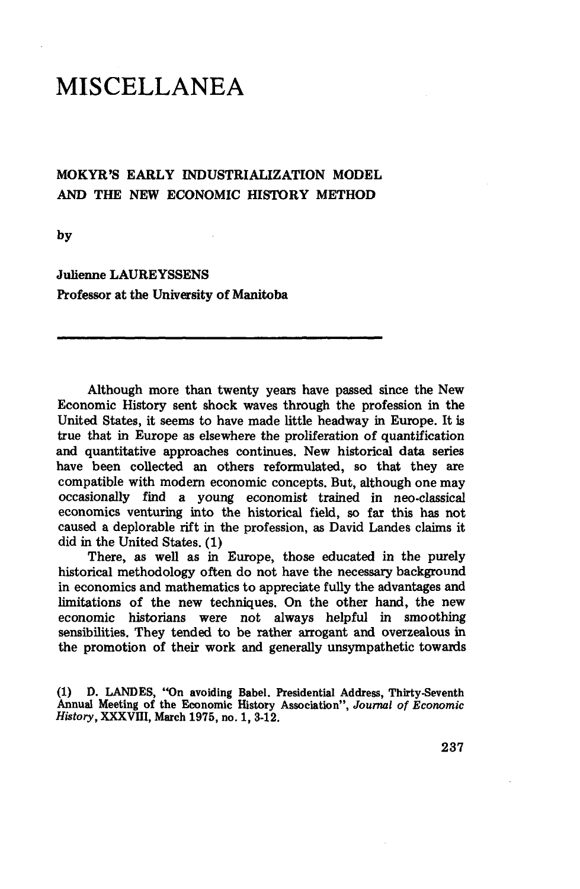## MISCELLANEA

## MOKYR'S EARLY INDUSTRIALIZATION MODEL AND THE NEW ECONOMIC HISTORY METHOD

by

Julienne LAUREYSSENS Professor at the University **of** Manitoba

Although more than twenty years have passed since the New Economic History sent shock waves through the profession in the United States, it seems to have made little headway in Europe. It is true that in Europe as elsewhere the proliferation **of** quantification and quantitative approaches continues. New historical data series have been collected an others reformulated, so that they are compatible with modern economic concepts. But, although one may occasionally find a young economist trained in neo-classical economics venturing into the historical field, so far this has not caused a deplorable rift in the profession, as David Landes claims it did in the United States. (1)

There, as well as in Europe, those educated in the purely historical methodology often do not have the necessary background in economics and mathematics to appreciate fully the advantages and limitations **of** the new techniques. On the other hand, the new economic historians were not always helpful in smoothing sensibilities. They tended to be rather arrogant and overzealous **in** the promotion of their work and generally unsympathetic towards

(1) D. LANDES, "On avoiding Babel. Presidential Address, Thirty-Seventh Annual Meeting of the Economic History Association", *Journal of Economic History,* XXXVIII, March 1975, no. 1, 3-12.

237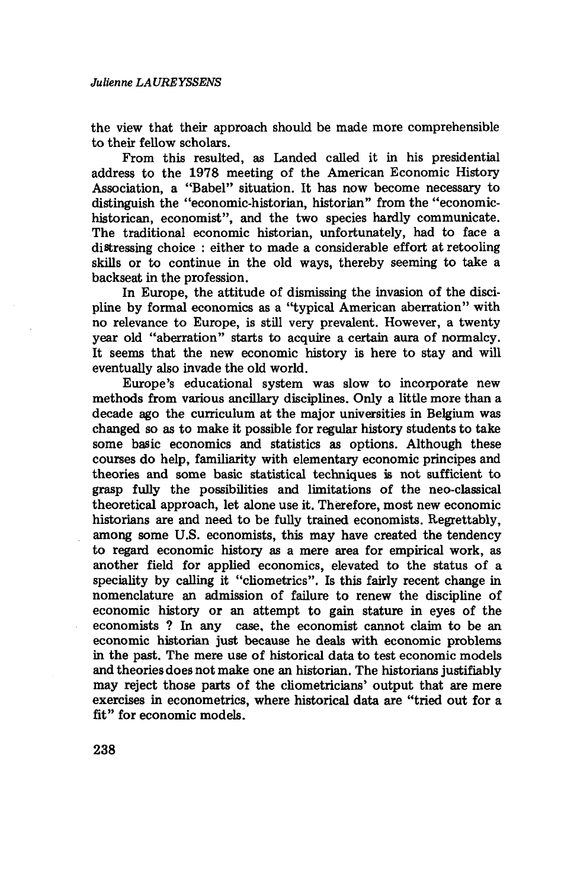the view that their approach should be made more comprehensible to their fellow scholars.

From this resulted, as Landed called it in his presidential address to the 1978 meeting of the American Economic History Association, a "Babel" situation. It has now become necessary to distinguish the "economic-historian, historian" from the "economichistorican, economist", and the two species hardly communicate. The traditional economic historian, unfortunately, had to face a distressing choice : either to made a considerable effort at retooling skills or to continue in the old ways, thereby seeming to take a backseat in the profession.

In Europe, the attitude of dismissing the invasion of the discipline by formal economics as a "typical American aberration" with no relevance to Europe, is still very prevalent. However, a twenty year old "aberration" starts to acquire a certain aura of normalcy. It seems that the new economic history is here to stay and will eventually also invade the old world.

Europe's educational system was slow to incorporate new methods from various ancillary disciplines. Only a little more than a decade ago the curriculum at the major universities in Belgium was changed so as to make it possible for regular history students to take some basic economics and statistics as options. Although these courses do help, familiarity with elementary economic principes and theories and some basic statistical techniques is not sufficient to grasp fully the possibilities and limitations of the neo-classical theoretical approach, let alone use it. Therefore, most new economic historians are and need to be fully trained economists. Regrettably, among some U.S. economists, this may have created the tendency to regard economic history as a mere area for empirical work, as another field for applied economics, elevated to the status of a speciality by calling it "cliometrics". Is this fairly recent change in nomenclature an admission of failure to renew the discipline of economic history or an attempt to gain stature in eyes of the economists ? In any case, the economist cannot claim to be an economic historian just because he deals with economic problems in the past. The mere use of historical data to test economic models and theories does not make one an historian. The historians justifiably may reject those parts of the cliometricians' output that are mere exercises in econometrics, where historical data are "tried out for a fit" for economic models.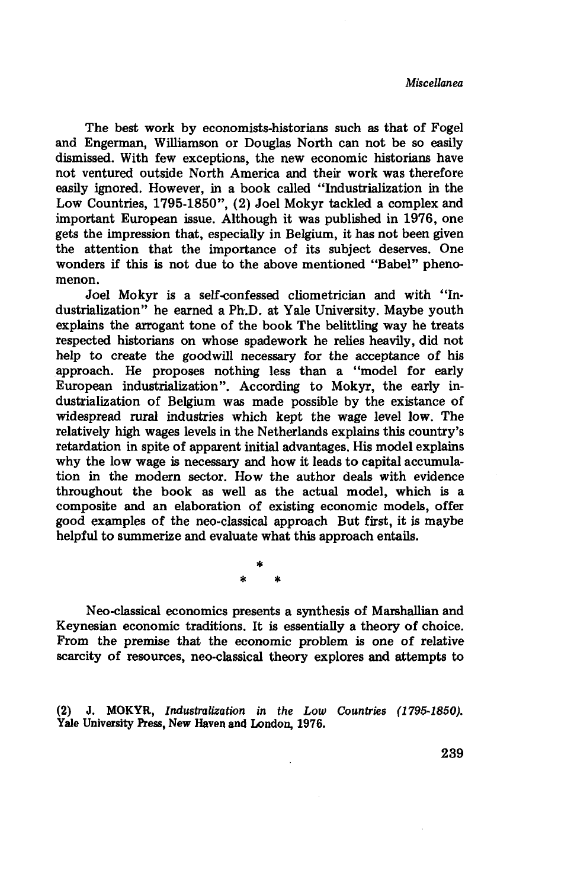The best work by economists-historians such as that of Fogel and Engerman, Williamson or Douglas North can not be so easily dismissed. With few exceptions, the new economic historians have not ventured outside North America and their work was therefore easily ignored. However, in a book called "Industrialization in the Low Countries, 1795-1850", (2) Joel Mokyr tackled a complex and important European issue. Although it was published in 1976, one gets the impression that, especially in Belgium, it has not been given the attention that the importance of its subject deserves. One wonders if this is not due to the above mentioned "Babel" phenomenon.

Joel Mokyr is a self-confessed cliometrician and with "Industrialization" he earned a Ph.D. at Yale University. Maybe youth explains the arrogant tone of the book The belittling way he treats respected historians on whose spadework he relies heavily, did not help to create the goodwill necessary for the acceptance of his approach. He proposes nothing less than a "model for early European industrialization". According to Mokyr, the early industrialization of Belgium was made possible by the existance of widespread rural industries which kept the wage level low. The relatively high wages levels in the Netherlands explains this country's retardation in spite of apparent initial advantages. His model explains why the low wage is necessary and how it leads to capital accumulation in the modern sector. How the author deals with evidence throughout the book as well as the actual model, which is a composite and an elaboration of existing economic models, offer good examples of the neo-classical approach But first, it is maybe helpful to summerize and evaluate what this approach entails.

> **\* \* \***

Neo-classical economics presents a synthesis of Marshallian and Keynesian economic traditions. It is essentially a theory of choice. From the premise that the economic problem is one of relative scarcity of resources, neo-classical theory explores and attempts to

(2) J. MOKYR, *Industralization in the Low Countries (1795-1850).* Yale University Press, New Haven and London, 1976.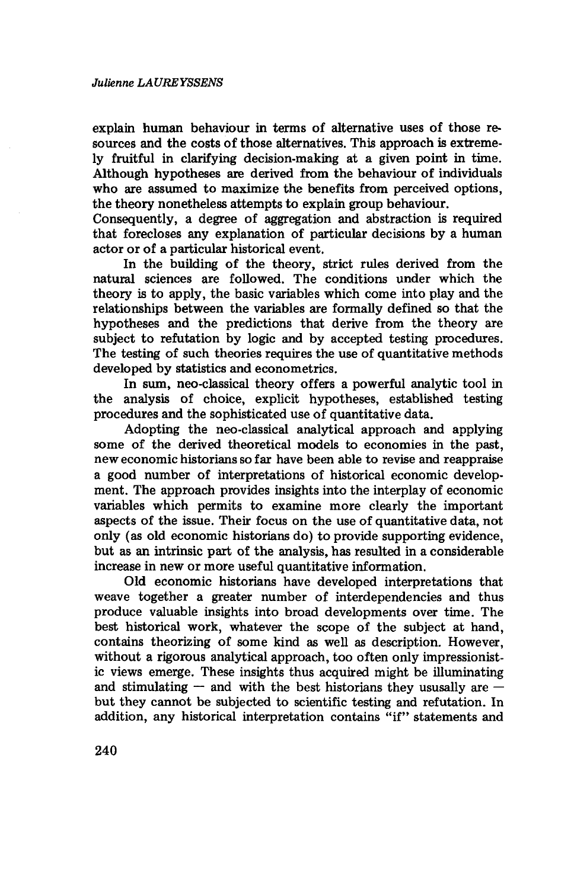explain human behaviour in terms of alternative uses of those resources and the costs of those alternatives. This approach is extremely fruitful in clarifying decision-making at a given point in time. Although hypotheses are derived from the behaviour of individuals who are assumed to maximize the benefits from perceived options, the theory nonetheless attempts to explain group behaviour.

Consequently, a degree of aggregation and abstraction is required that forecloses any explanation of particular decisions by a human actor or of a particular historical event.

In the building of the theory, strict rules derived from the natural sciences are followed. The conditions under which the theory is to apply, the basic variables which come into play and the relationships between the variables are formally defined so that the hypotheses and the predictions that derive from the theory are subject to refutation by logic and by accepted testing procedures. The testing of such theories requires the use of quantitative methods developed by statistics and econometrics.

In sum, neo-classical theory offers a powerful analytic tool in the analysis of choice, explicit hypotheses, established testing procedures and the sophisticated use of quantitative data.

Adopting the neo-classical analytical approach and applying some of the derived theoretical models to economies in the past, new economic historians so far have been able to revise and reappraise a good number of interpretations of historical economic development. The approach provides insights into the interplay of economic variables which permits to examine more clearly the important aspects of the issue. Their focus on the use of quantitative data, not only (as old economic historians do) to provide supporting evidence, but as an intrinsic part of the analysis, has resulted in a considerable increase in new or more useful quantitative information.

Old economic historians have developed interpretations that weave together a greater number of interdependencies and thus produce valuable insights into broad developments over time. The best historical work, whatever the scope of the subject at hand, contains theorizing of some kind as well as description. However, without a rigorous analytical approach, too often only impressionistic views emerge. These insights thus acquired might be illuminating and stimulating — and with the best historians they ususally are  $$ but they cannot be subjected to scientific testing and refutation. In addition, any historical interpretation contains "if" statements and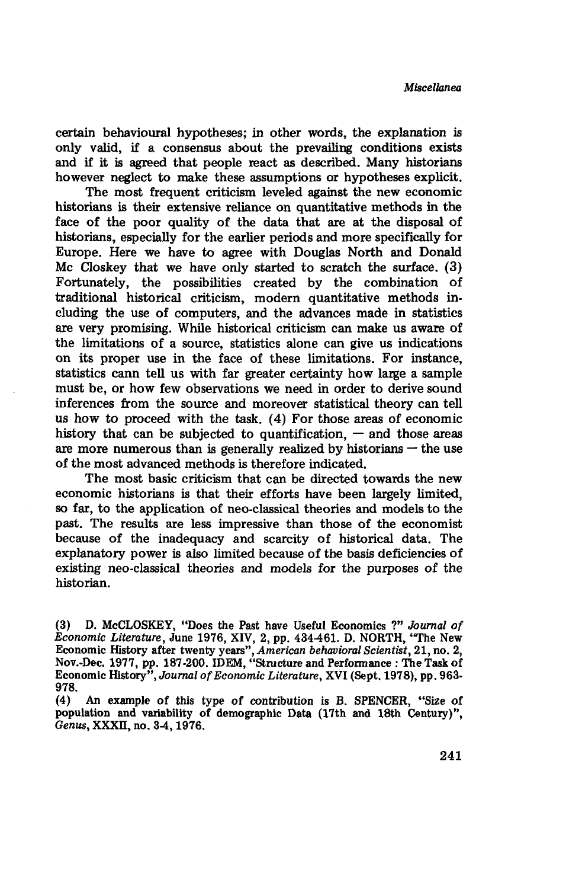certain behavioural hypotheses; in other words, the explanation is only valid, if a consensus about the prevailing conditions exists and if it is agreed that people react as described. Many historians however neglect to make these assumptions or hypotheses explicit.

The most frequent criticism leveled against the new economic historians is their extensive reliance on quantitative methods in the face **of** the poor quality of the data that are at the disposal **of** historians, especially for the earlier periods and more specifically for Europe. Here we have **to** agree with Douglas North and Donald Me Closkey that we have only started **to** scratch the surface. (3) Fortunately, the possibilities created by the combination of traditional historical criticism, modern quantitative methods including the use of computers, and the advances made in statistics are very promising. While historical criticism can make us aware of the limitations **of** a source, statistics alone can give us indications on its proper use in the face of these limitations. For instance, statistics cann tell us with far greater certainty how large a sample must be, or how few observations we need in order to derive sound inferences from the source and moreover statistical theory can tell us how to proceed with the task. (4) For those areas of economic history that can be subjected to quantification, **—** and those areas are more numerous than is generally realized by historians **—** the use **of** the most advanced methods is therefore indicated.

The most basic criticism that can be directed towards the new economic historians is that their efforts have been largely limited, so far, to the application **of** neo-classical theories and models to the past. The results are less impressive than those **of** the economist because **of** the inadequacy and scarcity **of** historical data. The explanatory power **is** also limited because of the basis deficiencies **of** existing neo-classical theories and models for the purposes **of** the historian.

<sup>(3)</sup> D. McCLOSKEY, "Does the Past have Useful Economics ?" *Journal of Economic Literature,* June 1976, XIV, 2, pp. 434461. D. NORTH, "The New Economic History after twenty years", *American behavioral Scientist,* 21, no. 2, Nov.-Dec. 1977, pp. 187-200. IDEM, "Structure and Performance **:** The Task of Economic History", *Journal of Economic Literature,* XVI (Sept. 1978), pp. 963- 978.

<sup>(4)</sup> **An** example of this type of contribution **is** B. SPENCER, "Size of population and variability of demographic Data (17th and 18th Century)", *Genus,* XXXII, no. 34,1976.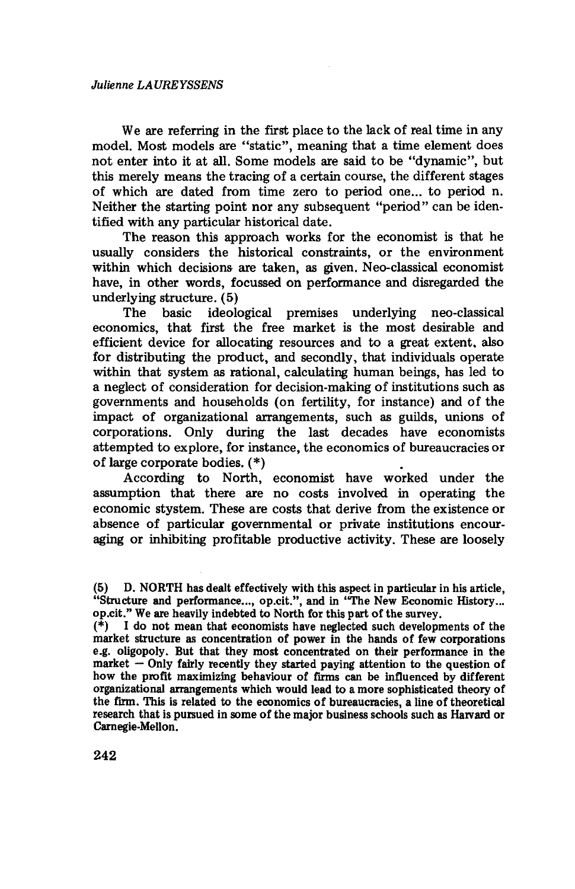We are referring in the first place to the lack of real time in any model. Most models are "static", meaning that a time element does not enter into it at all. Some models are said to be "dynamic", but this merely means the tracing of a certain course, the different stages of which are dated from time zero to period one... to period n. Neither the starting point nor any subsequent "period" can be identified with any particular historical date.

The reason this approach works for the economist is that he usually considers the historical constraints, or the environment within which decisions are taken, as given. Neo-classical economist have, in other words, focussed on performance and disregarded the underlying structure. (5)

The basic ideological premises underlying neo-classical economics, that first the free market is the most desirable and efficient device for allocating resources and to a great extent, also for distributing the product, and secondly, that individuals operate within that system as rational, calculating human beings, has led to a neglect of consideration for decision-making of institutions such as governments and households (on fertility, for instance) and of the impact of organizational arrangements, such as guilds, unions of corporations. Only during the last decades have economists attempted to explore, for instance, the economics of bureaucracies or of large corporate bodies. (\*)

According to North, economist have worked under the assumption that there are no costs involved in operating the economic stystem. These are costs that derive from the existence or absence of particular governmental or private institutions encouraging or inhibiting profitable productive activity. These are loosely

<sup>(5)</sup> D. NORTH has dealt effectively with this aspect in particular in his article, "Structure and performance..., op.cit.", and in "The New Economic History... op.cit." We are heavily indebted to North for this part of the survey.

 $(*)$  I do not mean that economists have neglected such developments of the market structure as concentration of power in the hands of few corporations e.g. oligopoly. But that they most concentrated on their performance in the market — Only fairly recently they started paying attention to the question of how the profit maximizing behaviour of firms can be influenced by different organizational arrangements which would lead to a more sophisticated theory of the firm. This is related to the economics of bureaucracies, a line of theoretical research that is pursued in some of the major business schools such as Harvard or Carnegie-Mellon.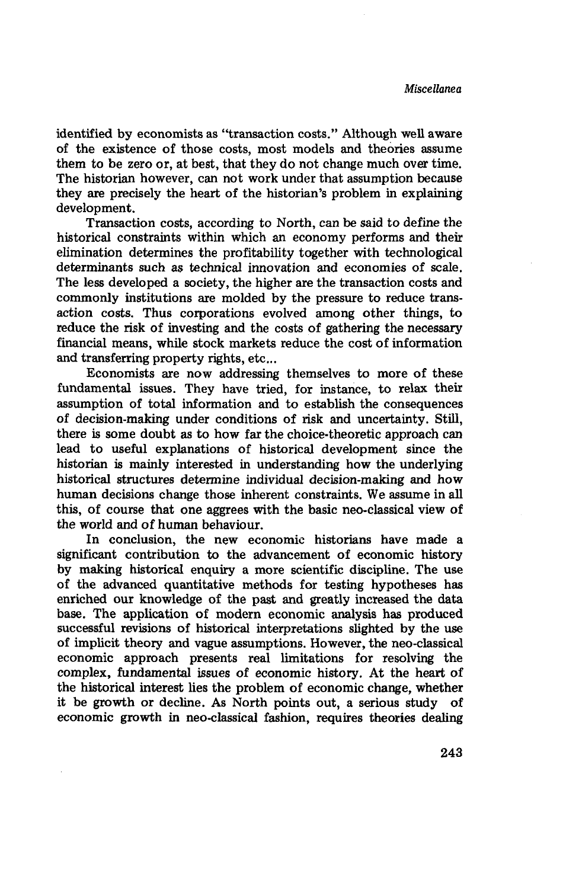identified by economists as "transaction costs." Although well aware of the existence of those costs, most models and theories assume them to be zero or, at best, that they do not change much over time. The historian however, can not work under that assumption because they are precisely the heart of the historian's problem in explaining development.

Transaction costs, according to North, can be said to define the historical constraints within which an economy performs and their elimination determines the profitability together with technological determinants such as technical innovation and economies of scale. The less developed a society, the higher are the transaction costs and commonly institutions are molded by the pressure to reduce transaction costs. Thus corporations evolved among other things, to reduce the risk of investing and the costs of gathering the necessary financial means, while stock markets reduce the cost of information and transferring property rights, etc...

Economists are now addressing themselves to more of these fundamental issues. They have tried, for instance, to relax their assumption of total information and to establish the consequences of decision-making under conditions of risk and uncertainty. Still, there is some doubt as to how far the choice-theoretic approach can lead to useful explanations of historical development since the historian is mainly interested in understanding how the underlying historical structures determine individual decision-making and how human decisions change those inherent constraints. We assume in all this, of course that one aggrees with the basic neo-classical view of the world and of human behaviour.

In conclusion, the new economic historians have made a significant contribution to the advancement of economic history by making historical enquiry a more scientific discipline. The use of the advanced quantitative methods for testing hypotheses has enriched our knowledge of the past and greatly increased the data base. The application of modern economic analysis has produced successful revisions of historical interpretations slighted by the use of implicit theory and vague assumptions. However, the neo-classical economic approach presents real limitations for resolving the complex, fundamental issues of economic history. At the heart of the historical interest lies the problem of economic change, whether it be growth or decline. As North points out, a serious study of economic growth in neo-classical fashion, requires theories dealing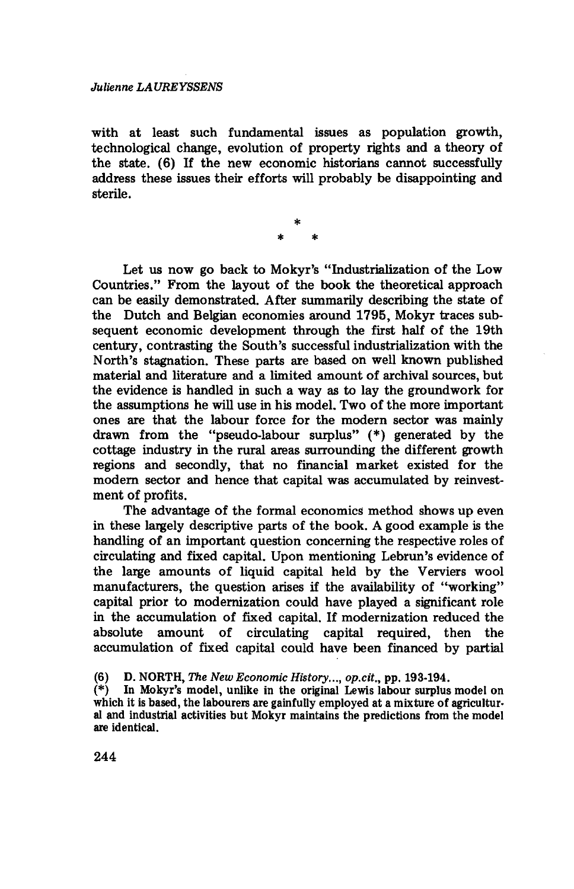with at least such fundamental issues as population growth, technological change, evolution of property rights and a theory of the state. (6) If the new economic historians cannot successfully address these issues their efforts will probably be disappointing and sterile.

Let us now go back to Mokyr's "Industrialization of the Low Countries." From the layout of the book the theoretical approach can be easily demonstrated. After summarily describing the state of the Dutch and Belgian economies around 1795, Mokyr traces subsequent economic development through the first half of the 19th century, contrasting the South's successful industrialization with the North's stagnation. These parts are based on well known published material and literature and a limited amount of archival sources, but the evidence is handled in such a way as to lay the groundwork for the assumptions he will use in his model. Two of the more important ones are that the labour force for the modern sector was mainly drawn from the "pseudo-labour surplus" (\*) generated by the cottage industry in the rural areas surrounding the different growth regions and secondly, that no financial market existed for the modern sector and hence that capital was accumulated by reinvestment of profits.

The advantage of the formal economics method shows up even in these largely descriptive parts of the book. A good example is the handling of an important question concerning the respective roles of circulating and fixed capital. Upon mentioning Lebrun's evidence of the large amounts of liquid capital held by the Verviers wool manufacturers, the question arises if the availability of "working" capital prior to modernization could have played a significant role in the accumulation of fixed capital. If modernization reduced the absolute amount of circulating capital required, then the accumulation of fixed capital could have been financed by partial

<sup>(6)</sup> D. NORTH, *The New Economic History..., op.cit.,* pp. 193-194.

In Mokyr's model, unlike in the original Lewis labour surplus model on which it is based, the labourers are gainfully employed at a mixture of agricultural and industrial activities but Mokyr maintains the predictions from the model are identical.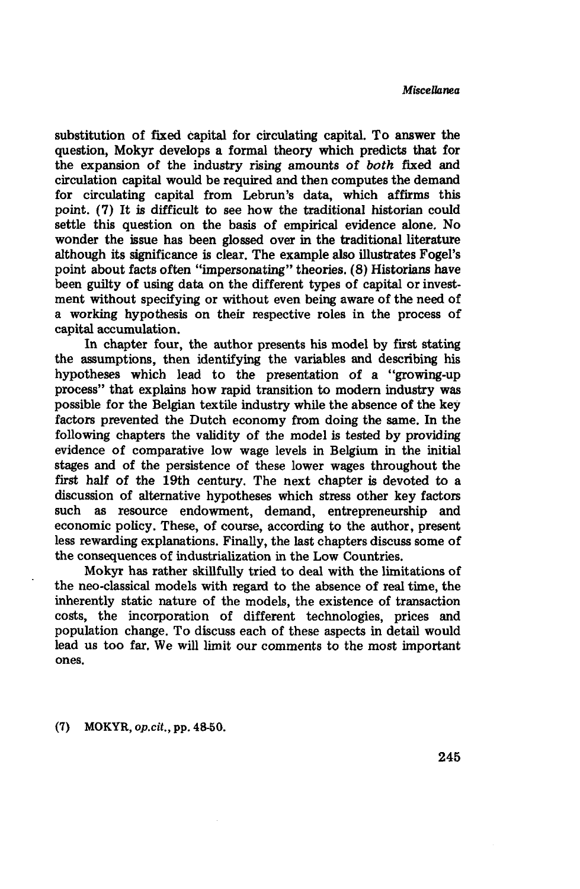substitution of fixed capital for circulating capital. To answer the question, Mokyr develops a formal theory which predicts that for the expansion of the industry rising amounts of *both* fixed and circulation capital would be required and then computes the demand for circulating capital from Lebrun's data, which affirms this point. (7) It is difficult to see how the traditional historian could settle this question on the basis of empirical evidence alone. No wonder the issue has been glossed over in the traditional literature although its significance is clear. The example also illustrates Fogel's point about facts often "impersonating" theories. (8) Historians have been guilty of using data on the different types of capital or investment without specifying or without even being aware of the need of a working hypothesis on their respective roles in the process of capital accumulation.

In chapter four, the author presents his model by first stating the assumptions, then identifying the variables and describing his hypotheses which lead to the presentation of a "growing-up process" that explains how rapid transition to modern industry was possible for the Belgian textile industry while the absence of the key factors prevented the Dutch economy from doing the same. In the following chapters the validity of the model is tested by providing evidence of comparative low wage levels in Belgium in the initial stages and of the persistence of these lower wages throughout the first half of the 19th century. The next chapter is devoted to a discussion of alternative hypotheses which stress other key factors such as resource endowment, demand, entrepreneurship and economic policy. These, of course, according to the author, present less rewarding explanations. Finally, the last chapters discuss some of the consequences of industrialization in the Low Countries.

Mokyr has rather skillfully tried to deal with the limitations of the neo-classical models with regard to the absence of real time, the inherently static nature of the models, the existence of transaction costs, the incorporation of different technologies, prices and population change. To discuss each of these aspects in detail would lead us too far. We will limit our comments to the most important ones.

(7) MOKYR, *op.cit.,* pp. 48-50.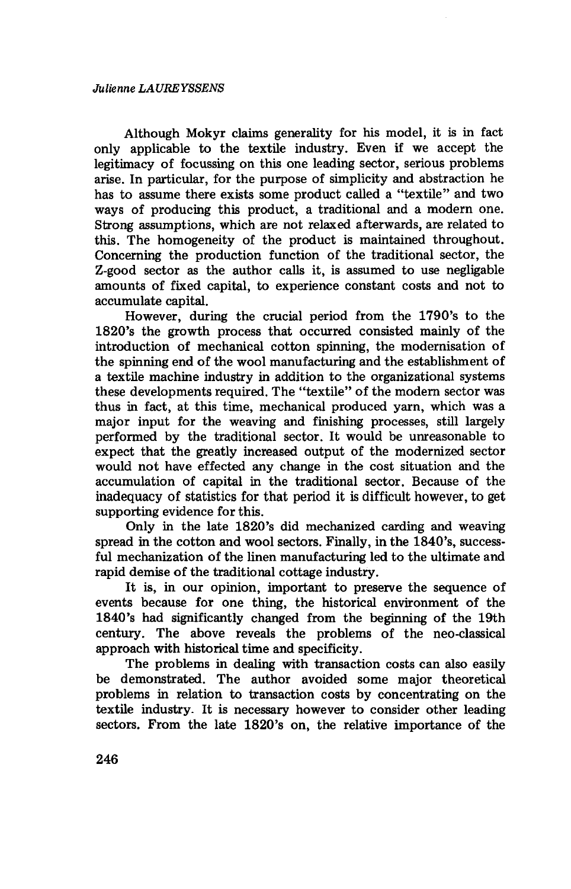Although Mokyr claims generality for his model, it is in fact only applicable to the textile industry. Even if we accept the legitimacy of focussing on this one leading sector, serious problems arise. In particular, for the purpose of simplicity and abstraction he has to assume there exists some product called a "textile" and two ways of producing this product, a traditional and a modern one. Strong assumptions, which are not relaxed afterwards, are related to this. The homogeneity of the product is maintained throughout. Concerning the production function of the traditional sector, the Z-good sector as the author calls it, is assumed to use negligable amounts of fixed capital, to experience constant costs and not to accumulate capital.

However, during the crucial period from the 179O's to the 1820's the growth process that occurred consisted mainly of the introduction of mechanical cotton spinning, the modernisation of the spinning end of the wool manufacturing and the establishment of a textile machine industry in addition to the organizational systems these developments required. The "textile" of the modern sector was thus in fact, at this time, mechanical produced yarn, which was a major input for the weaving and finishing processes, still largely performed by the traditional sector. It would be unreasonable to expect that the greatly increased output of the modernized sector would not have effected any change in the cost situation and the accumulation of capital in the traditional sector. Because of the inadequacy of statistics for that period it is difficult however, to get supporting evidence for this.

Only in the late 1820's did mechanized carding and weaving spread in the cotton and wool sectors. Finally, in the 1840's, successful mechanization of the linen manufacturing led to the ultimate and rapid demise of the traditional cottage industry.

It is, in our opinion, important to preserve the sequence of events because for one thing, the historical environment of the 1840's had significantly changed from the beginning of the 19th century. The above reveals the problems of the neo-classical approach with historical time and specificity.

The problems in dealing with transaction costs can also easily be demonstrated. The author avoided some major theoretical problems in relation to transaction costs by concentrating on the textile industry- It is necessary however to consider other leading sectors. From the late 1820's on, the relative importance of the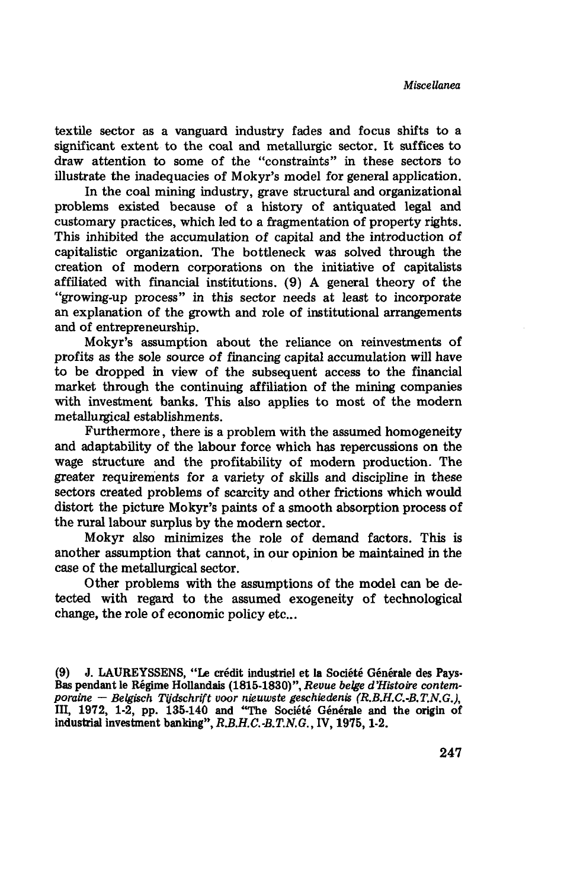textile sector as a vanguard industry fades and focus shifts to a significant extent to the coal and métallurgie sector. It suffices to draw attention **to** some of the "constraints" in these sectors to illustrate the inadequacies **of** Mokyr's model for general application.

In the coal mining industry, grave structural and organizational problems existed because **of** a history **of** antiquated legal and customary practices, which led **to** a fragmentation **of** property rights. This inhibited the accumulation **of** capital and the introduction **of** capitalistic organization. The bottleneck was solved through the creation **of** modern corporations on the initiative **of** capitalists affiliated with financial institutions. (9) A general theory **of** the "growing-up process" in this sector needs at least to incorporate an explanation **of** the growth and role of institutional arrangements and **of** entrepreneurship.

Mokyr's assumption about the reliance on reinvestments **of** profits as the sole source **of** financing capital accumulation will have to be dropped in view **of** the subsequent access to the financial market through the continuing affiliation of the mining companies with investment banks. This also applies to most **of** the modern metallurgical establishments.

Furthermore**,** there **is** a problem with the assumed homogeneity and adaptability **of** the labour force which has repercussions on the wage structure and the profitability **of** modern production. The greater requirements for a variety **of** skills and discipline in these sectors created problems **of** scarcity and other frictions which would distort the picture Mokyr's paints **of** a smooth absorption process **of** the rural labour surplus by the modern sector.

Mokyr also minimizes the role **of** demand factors. This is another assumption that cannot, in our opinion be maintained in the case **of** the metallurgical sector.

Other problems with the assumptions **of** the model can be detected with regard **to** the assumed exogeneity of technological change, the role **of** economic policy etc...

(9) J. LAUREYSSENS, "Le crédit industriel et la Société Générale des Pays-Bas pendant le Régime Hollandais (1815-1830)", *Revue belge d'Histoire contemporaine* — *Belgisch Tijdschrift voor nieuwste geschiedenis (R.B.H.C.-B.T.N.GJ,* III, 1972, 1-2, pp. 135-140 and "The Société Générale and the origin of industrial investment banking", R.B.H.C.-B.T.N.G., IV, 1975, 1-2.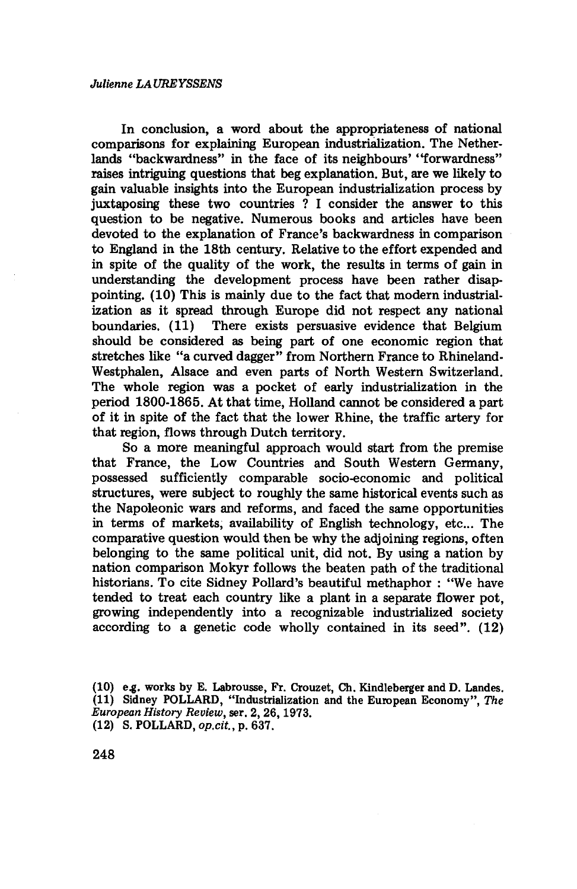In conclusion, a word about the appropriateness of national comparisons for explaining European industrialization. The Netherlands "backwardness" in the face of its neighbours' "forwardness" raises intriguing questions that beg explanation. But, are we likely to gain valuable insights into the European industrialization process by juxtaposing these two countries ? I consider the answer to this question to be negative. Numerous books and articles have been devoted to the explanation of France's backwardness in comparison to England in the 18th century. Relative to the effort expended and in spite of the quality of the work, the results in terms of gain in understanding the development process have been rather disappointing. (10) This is mainly due to the fact that modern industrialization as it spread through Europe did not respect any national boundaries. (11) There exists persuasive evidence that Belgium should be considered as being part of one economic region that stretches like "a curved dagger" from Northern France to Rhineland-Westphalen, Alsace and even parts of North Western Switzerland. The whole region was a pocket of early industrialization in the period 1800-1865. At that time, Holland cannot be considered a part of it in spite of the fact that the lower Rhine, the traffic artery for that region, flows through Dutch territory.

So a more meaningful approach would start from the premise that France, the Low Countries and South Western Germany, possessed sufficiently comparable socio-economic and political structures, were subject to roughly the same historical events such as the Napoleonic wars and reforms, and faced the same opportunities in terms of markets, availability of English technology, etc... The comparative question would then be why the adjoining regions, often belonging to the same political unit, did not. By using a nation by nation comparison Mokyr follows the beaten path of the traditional historians. To cite Sidney Pollard's beautiful methaphor : "We have tended to treat each country like a plant in a separate flower pot, growing independently into a recognizable industrialized society according to a genetic code wholly contained in its seed". (12)

<sup>(10)</sup> e.g. works by E. Labrousse, Fr. Crouzet, Ch. Kindleberger and D. Landes. (11) Sidney POLLARD, "Industrialization and the European Economy", *The European History Review,* ser. 2, 26,1973. (12) S. POLLARD, *op.cit,* p. 637.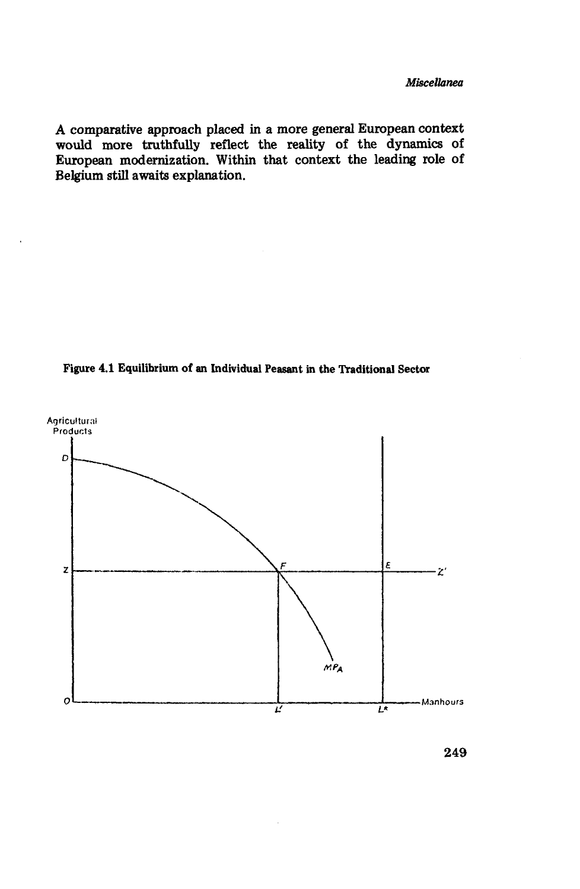*A* comparative approach placed in a more general European context would more truthfully reflect the reality **of** the dynamics **of** European modernization. Within that context the leading role of Belgium still awaits explanation.





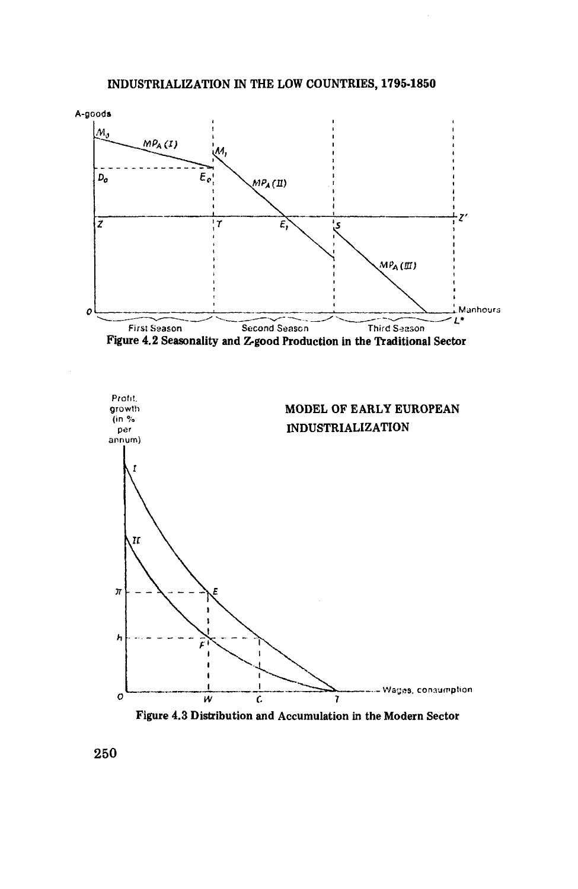







250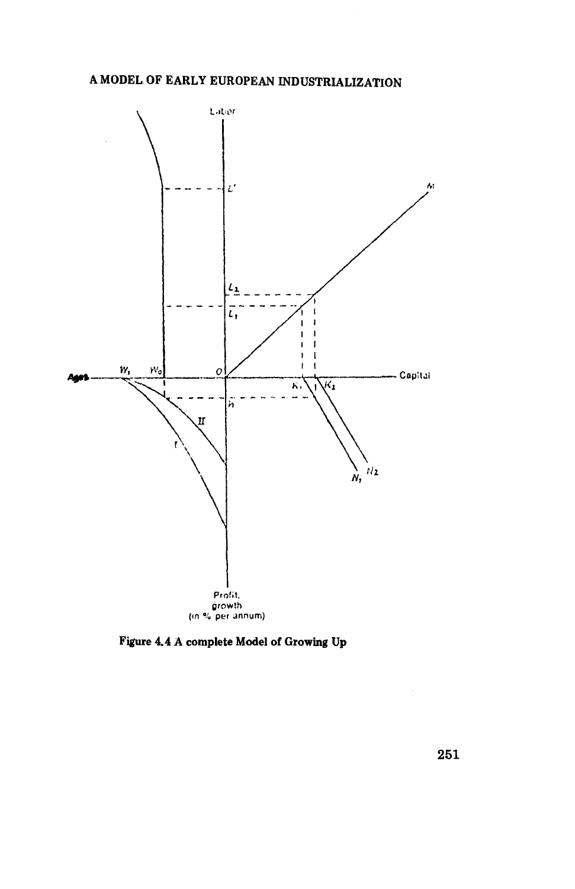

Figure 4.4 **A** complete Model of Growing Up